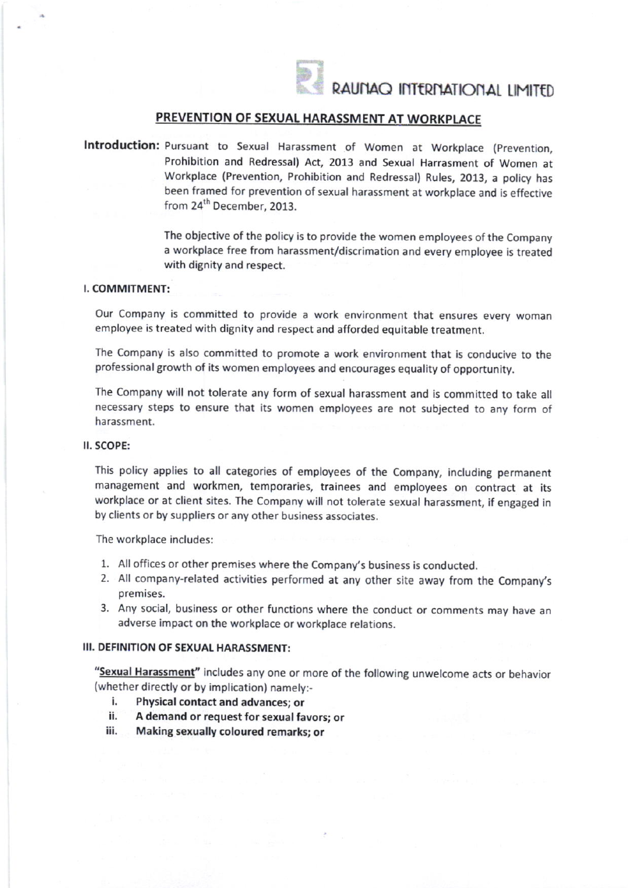

RAUNAO INTERNATIONAL LIMITED

## PREVENTION OF SEXUAL HARASSMENT AT WORKPLACE

Introduction: Pursuant to Sexual Harassment of Women at Workplace (Prevention, Prohibition and Redressal) Act, 2013 and Sexual Harrasment of Women at Workplace (Prevention, Prohibition and Redressal) Rules,2013, a policy has been framed for prevention of sexual harassment at workplace and is effective from 24<sup>th</sup> December, 2013.

> The objective of the policy is to provide the women employees of the Company a workplace free from harassment/discrimation and every employee is treated with dignity and respect.

#### I, COMMITMENT:

Our Company is committed to provide a work environment that ensures every woman employee is treated with dignity and respect and afforded equitable treatment.

The Company is also committed to promote a work environment that is conducive to the professional growth of its women employees and encourages equality of opportunity.

The Company will not tolerate any form of sexual harassment and is committed to take all necessary steps to ensure that its women employees are not subjected to any form of harassment.

#### . SCOPE:

This policy applies to all categories of employees of the Company, including permanent management and workmen, temporaries, trainees and employees on contract at its workplace or at client sites. The Company will not tolerate sexual harassment, if engaged in by clients or by suppliers or any other business associates.

The workplace includes:

- 1. All offices or other premises where the Company's business is conducted.
- 2. All company-related activities performed at any other site away from the Company's premises.
- 3. Any social, business or other functions where the conduct or comments may have an adverse impact on the workplace or workplace relations.

#### III. DEFINITION OF SEXUAL HARAsSMENT:

"Sexual Harassment" includes any one or more of the following unwelcome acts or behavior (whether directly or by implication) namely:-

- i. Physical contact and advances; or<br>ii. A demand or request for sexual fax
- A demand or request for sexual favors; or
- iii. Making sexually coloured remarks; or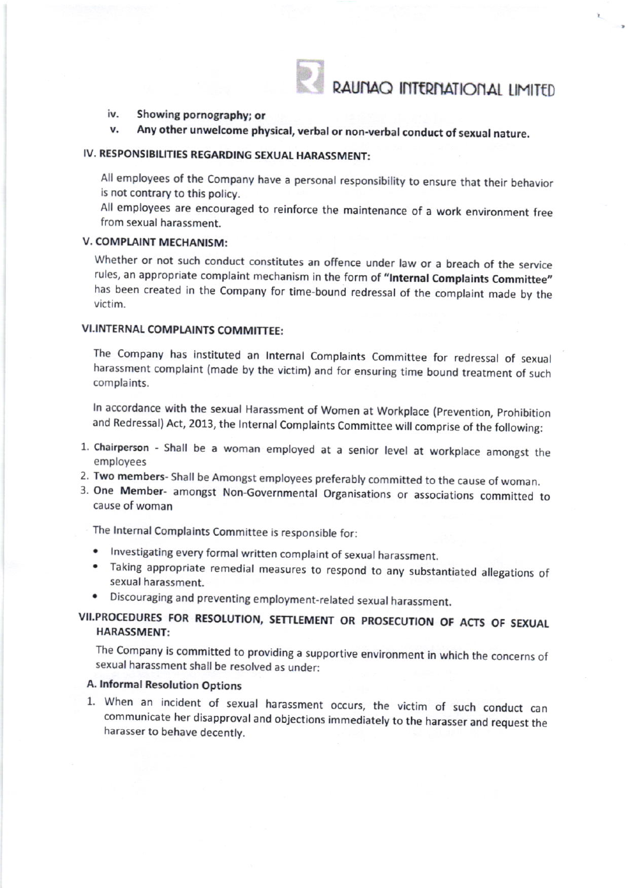RAUNAQ INTERNATIONAL LIMITED

#### iv. Showing pornography; or

Any other unwelcome physical, verbal or non-verbal conduct of sexual nature. v.

## IV. RESPONSIBILITIES REGARDING SEXUAL HARASSMENT:

Allemployees of the Company have a personal responsibility to ensure that their behavior is not contrary to this policy.

All employees are encouraged to reinforce the maintenance of a work environment free from sexual harassment.

## V. COMPLAINT MECHANISM:

Whether or not such conduct constitutes an offence under law or a breach of the service rules, an appropriate complaint mechanism in the form of "Internal Complaints Committee" has been created in the Company for time-bound redressal of the complaint made by the victim.

## VI.INTERNAL COMPLAINTS COMMITTEE:

The Company has instituted an lnternal Complaints Committee for redressal of sexual harassment complaint (made by the victim) and for ensuring time bound treatment of such complaints.

ln accordance with the sexual Harassment of Women at Workplace (prevention, prohibition and Redressal) Act, 2013, the Internal Complaints Committee will comprise of the following:

- 1. chairperson Shall be a woman employed at a senior level at workplace amongst the employees
- 2. Two members- Shall be Amongst employees preferably committed to the cause of woman.
- 3. One Member- amongst Non-Governmental Organisations or associations committed to cause of woman

The lnternal Complaints Committee is responsible for:

- $\bullet$  Investigating every formal written complaint of sexual harassment.
- . Taking appropriate remedial measures to respond to any substantiated allegations of sexual harassment.
- . Discouraging and preventingemployment-related sexual harassment.

## VII.PROCEDURES FOR RESOLUTION, SETTLEMENT OR PROSECUTION OF ACTS OF SEXUAL HARASSMENT:

The Company is committed to providing a supportive environment in which the concerns of sexual harassment shall be resolved as under:

#### A. lnformal Resolution Options

1. When an incident of serual harassment occurs, the victim of such conduct can communicate her disapproval and objections immediately to the harasser and request the harasser to behave decently.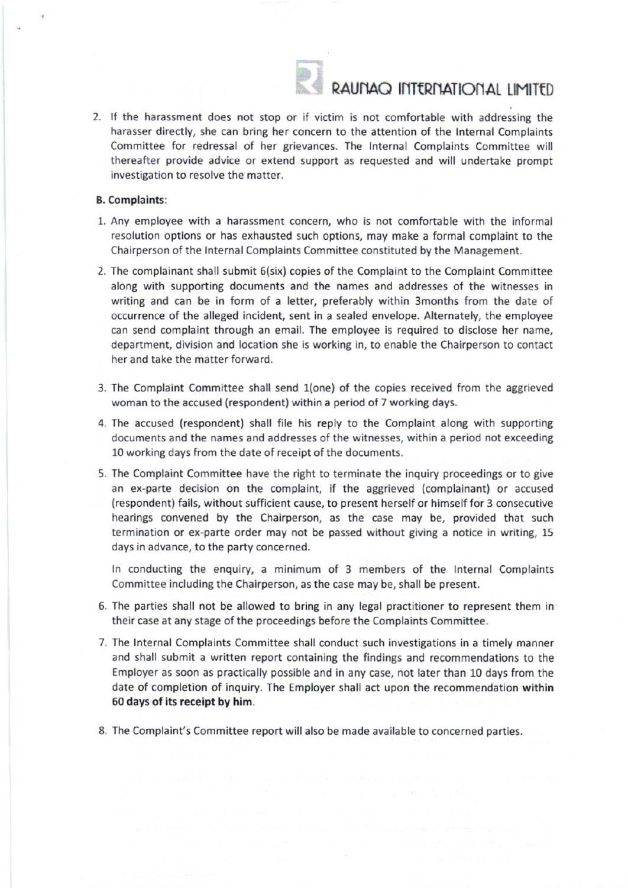

# RAUNAO INTERNATIONAL LIMITED

2. If the harassment does not stop or if victim is not comfortable with addressing the harasser directly, she can bring her concern to the attention of the lnternal Complaints Committee for redressal of her grievances. The Internal Complaints Committee will thereafter provide advice or extend support as requested and will undertake prompt investigation to resolve the matter.

#### B. Complaints:

- 1. Any employee with a harassment concern, who is not comfortable with the informal resolution options or has exhausted such options, may make a formal complaint to the Chairperson of the lnternal Complaints Committee constituted by the Management.
- 2. The complainant shall submit 6(six) copies of the Complaint to the Complaint Committee along with supporting documents and the names and addresses of the witnesses in writing and can be in form of a letter, preferably within 3months from the date of occurrence of the alleged incident, sent in a sealed envelope. Alternately, the employee can send complaint through an email. The employee is required to disclose her name, department, division and location she is working in, to enable the Chairperson to contact her and take the matter forward.
- 3. The Complaint Committee shall send 1(one) of the copies received from the aggrieved woman to the accused (respondent) within a period of 7 working days.
- 4. The accused (respondent) shall file his reply to the Complaint along with supporting documents and the names and addresses of the witnesses, within a period not exceeding 10 working days from the date of receipt of the documents.
- 5. The Complaint Committee have the right to terminate the inquiry proceedings or to give an ex-parte decision on the complaint, if the aggrieved (complainant) or accused (respondent) fails, without sufficient cause, to present herself or himself for 3 consecutive hearings convened by the Chairperson, as the case may be, provided that such termination or ex-parte order may not be passed without giving a notice in writing, 15 days in advance, to the party concerned.

In conducting the enquiry, a minimum of 3 members of the Internal Complaints Committee including the Chairperson, as the case may be, shall be present.

- 6. The parties shall not be allowed to bring in any legal practitioner to represent them in their case at any stage of the proceedings before the Complaints Committee.
- 7. The lnternal Complaints Committee shall conduct such investigations in a timely manner and shall submit a written report containing the findings and recommendations to the Employer as soon as practically possible and in any case, not later than 10 days from the date of completion of inquiry. The Employer shall act upon the recommendation within 50 days of its receipt by him.
- 8. The Complaint's Committee report willalso be made available to concerned parties.